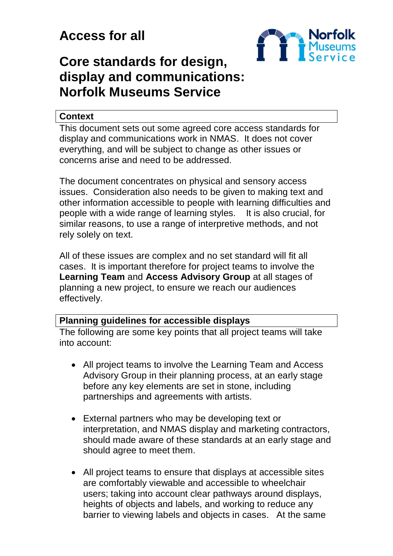# **Access for all**



## **Core standards for design, display and communications: Norfolk Museums Service**

#### **Context**

This document sets out some agreed core access standards for display and communications work in NMAS. It does not cover everything, and will be subject to change as other issues or concerns arise and need to be addressed.

The document concentrates on physical and sensory access issues. Consideration also needs to be given to making text and other information accessible to people with learning difficulties and people with a wide range of learning styles. It is also crucial, for similar reasons, to use a range of interpretive methods, and not rely solely on text.

All of these issues are complex and no set standard will fit all cases. It is important therefore for project teams to involve the **Learning Team** and **Access Advisory Group** at all stages of planning a new project, to ensure we reach our audiences effectively.

## **Planning guidelines for accessible displays**

The following are some key points that all project teams will take into account:

- All project teams to involve the Learning Team and Access Advisory Group in their planning process, at an early stage before any key elements are set in stone, including partnerships and agreements with artists.
- External partners who may be developing text or interpretation, and NMAS display and marketing contractors, should made aware of these standards at an early stage and should agree to meet them.
- All project teams to ensure that displays at accessible sites are comfortably viewable and accessible to wheelchair users; taking into account clear pathways around displays, heights of objects and labels, and working to reduce any barrier to viewing labels and objects in cases. At the same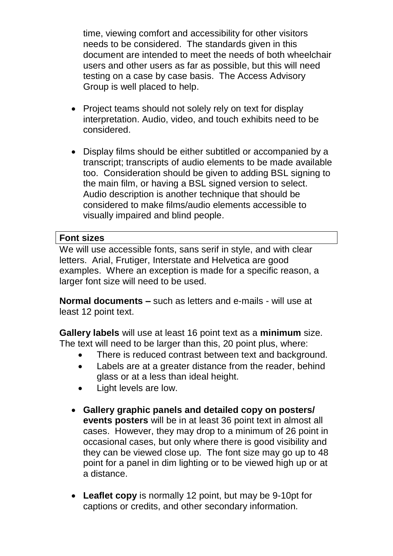time, viewing comfort and accessibility for other visitors needs to be considered. The standards given in this document are intended to meet the needs of both wheelchair users and other users as far as possible, but this will need testing on a case by case basis. The Access Advisory Group is well placed to help.

- Project teams should not solely rely on text for display interpretation. Audio, video, and touch exhibits need to be considered.
- Display films should be either subtitled or accompanied by a transcript; transcripts of audio elements to be made available too. Consideration should be given to adding BSL signing to the main film, or having a BSL signed version to select. Audio description is another technique that should be considered to make films/audio elements accessible to visually impaired and blind people.

#### **Font sizes**

We will use accessible fonts, sans serif in style, and with clear letters. Arial, Frutiger, Interstate and Helvetica are good examples. Where an exception is made for a specific reason, a larger font size will need to be used.

**Normal documents –** such as letters and e-mails - will use at least 12 point text.

**Gallery labels** will use at least 16 point text as a **minimum** size. The text will need to be larger than this, 20 point plus, where:

- There is reduced contrast between text and background.
- Labels are at a greater distance from the reader, behind glass or at a less than ideal height.
- Light levels are low.
- **Gallery graphic panels and detailed copy on posters/ events posters** will be in at least 36 point text in almost all cases. However, they may drop to a minimum of 26 point in occasional cases, but only where there is good visibility and they can be viewed close up. The font size may go up to 48 point for a panel in dim lighting or to be viewed high up or at a distance.
- **Leaflet copy** is normally 12 point, but may be 9-10pt for captions or credits, and other secondary information.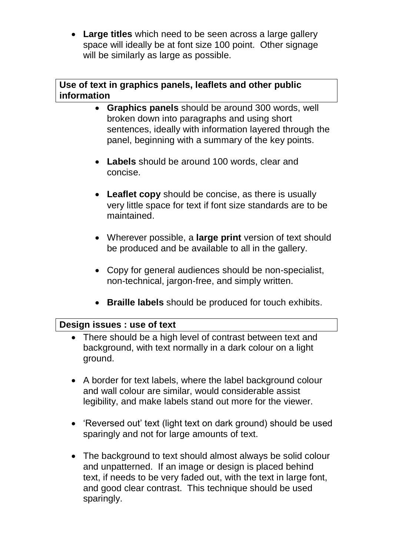**Large titles** which need to be seen across a large gallery space will ideally be at font size 100 point. Other signage will be similarly as large as possible.

## **Use of text in graphics panels, leaflets and other public information**

- **Graphics panels** should be around 300 words, well broken down into paragraphs and using short sentences, ideally with information layered through the panel, beginning with a summary of the key points.
- **Labels** should be around 100 words, clear and concise.
- **Leaflet copy** should be concise, as there is usually very little space for text if font size standards are to be maintained.
- Wherever possible, a **large print** version of text should be produced and be available to all in the gallery.
- Copy for general audiences should be non-specialist, non-technical, jargon-free, and simply written.
- **Braille labels** should be produced for touch exhibits.

## **Design issues : use of text**

- There should be a high level of contrast between text and background, with text normally in a dark colour on a light ground.
- A border for text labels, where the label background colour and wall colour are similar, would considerable assist legibility, and make labels stand out more for the viewer.
- 'Reversed out' text (light text on dark ground) should be used sparingly and not for large amounts of text.
- The background to text should almost always be solid colour and unpatterned. If an image or design is placed behind text, if needs to be very faded out, with the text in large font, and good clear contrast. This technique should be used sparingly.